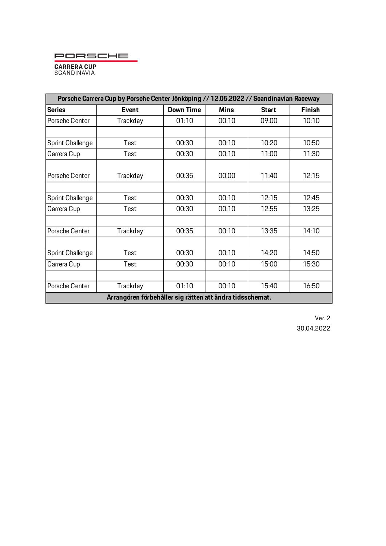PORSCHE



| Porsche Carrera Cup by Porsche Center Jönköping // 12.05.2022 // Scandinavian Raceway |              |                  |             |              |               |  |
|---------------------------------------------------------------------------------------|--------------|------------------|-------------|--------------|---------------|--|
| <b>Series</b>                                                                         | <b>Event</b> | <b>Down Time</b> | <b>Mins</b> | <b>Start</b> | <b>Finish</b> |  |
| Porsche Center                                                                        | Trackday     | 01:10            | 00:10       | 09:00        | 10:10         |  |
|                                                                                       |              |                  |             |              |               |  |
| Sprint Challenge                                                                      | Test         | 00:30            | 00:10       | 10:20        | 10:50         |  |
| Carrera Cup                                                                           | Test         | 00:30            | 00:10       | 11:00        | 11:30         |  |
|                                                                                       |              |                  |             |              |               |  |
| Porsche Center                                                                        | Trackday     | 00:35            | 00:00       | 11:40        | 12:15         |  |
|                                                                                       |              |                  |             |              |               |  |
| Sprint Challenge                                                                      | Test         | 00:30            | 00:10       | 12:15        | 12:45         |  |
| Carrera Cup                                                                           | Test         | 00:30            | 00:10       | 12:55        | 13:25         |  |
|                                                                                       |              |                  |             |              |               |  |
| Porsche Center                                                                        | Trackday     | 00:35            | 00:10       | 13:35        | 14:10         |  |
|                                                                                       |              |                  |             |              |               |  |
| Sprint Challenge                                                                      | Test         | 00:30            | 00:10       | 14:20        | 14:50         |  |
| Carrera Cup                                                                           | Test         | 00:30            | 00:10       | 15:00        | 15:30         |  |
|                                                                                       |              |                  |             |              |               |  |
| Porsche Center                                                                        | Trackday     | 01:10            | 00:10       | 15:40        | 16:50         |  |
| Arrangören förbehåller sig rätten att ändra tidsschemat.                              |              |                  |             |              |               |  |

Ver. 2 30.04.2022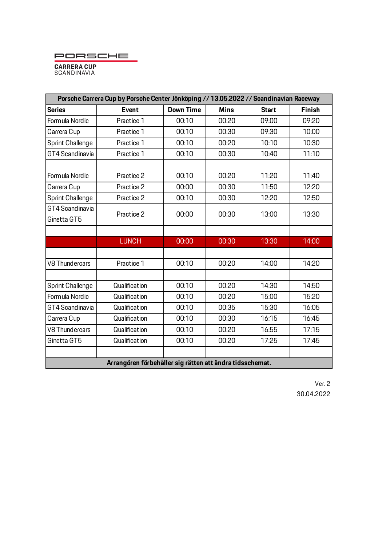PORSCHE



| Porsche Carrera Cup by Porsche Center Jönköping // 13.05.2022 // Scandinavian Raceway |               |                  |             |              |               |  |  |  |
|---------------------------------------------------------------------------------------|---------------|------------------|-------------|--------------|---------------|--|--|--|
| <b>Series</b>                                                                         | <b>Event</b>  | <b>Down Time</b> | <b>Mins</b> | <b>Start</b> | <b>Finish</b> |  |  |  |
| Formula Nordic                                                                        | Practice 1    | 00:10            | 00:20       | 09:00        | 09:20         |  |  |  |
| Carrera Cup                                                                           | Practice 1    | 00:10            | 00:30       | 09:30        | 10:00         |  |  |  |
| Sprint Challenge                                                                      | Practice 1    | 00:10            | 00:20       | 10:10        | 10:30         |  |  |  |
| GT4 Scandinavia                                                                       | Practice 1    | 00:10            | 00:30       | 10:40        | 11:10         |  |  |  |
|                                                                                       |               |                  |             |              |               |  |  |  |
| Formula Nordic                                                                        | Practice 2    | 00:10            | 00:20       | 11:20        | 11:40         |  |  |  |
| Carrera Cup                                                                           | Practice 2    | 00:00            | 00:30       | 11:50        | 12:20         |  |  |  |
| Sprint Challenge                                                                      | Practice 2    | 00:10            | 00:30       | 12:20        | 12:50         |  |  |  |
| GT4 Scandinavia                                                                       | Practice 2    | 00:00            | 00:30       | 13:00        | 13:30         |  |  |  |
| Ginetta GT5                                                                           |               |                  |             |              |               |  |  |  |
|                                                                                       |               |                  |             |              |               |  |  |  |
|                                                                                       | <b>LUNCH</b>  | 00:00            | 00:30       | 13:30        | 14:00         |  |  |  |
|                                                                                       |               |                  |             |              |               |  |  |  |
| <b>V8 Thundercars</b>                                                                 | Practice 1    | 00:10            | 00:20       | 14:00        | 14:20         |  |  |  |
|                                                                                       |               |                  |             |              |               |  |  |  |
| Sprint Challenge                                                                      | Qualification | 00:10            | 00:20       | 14:30        | 14:50         |  |  |  |
| Formula Nordic                                                                        | Qualification | 00:10            | 00:20       | 15:00        | 15:20         |  |  |  |
| GT4 Scandinavia                                                                       | Qualification | 00:10            | 00:35       | 15:30        | 16:05         |  |  |  |
| Carrera Cup                                                                           | Qualification | 00:10            | 00:30       | 16:15        | 16:45         |  |  |  |
| <b>V8 Thundercars</b>                                                                 | Qualification | 00:10            | 00:20       | 16:55        | 17:15         |  |  |  |
| Ginetta GT5                                                                           | Qualification | 00:10            | 00:20       | 17:25        | 17:45         |  |  |  |
|                                                                                       |               |                  |             |              |               |  |  |  |
| Arrangören förbehåller sig rätten att ändra tidsschemat.                              |               |                  |             |              |               |  |  |  |

Ver. 2 30.04.2022